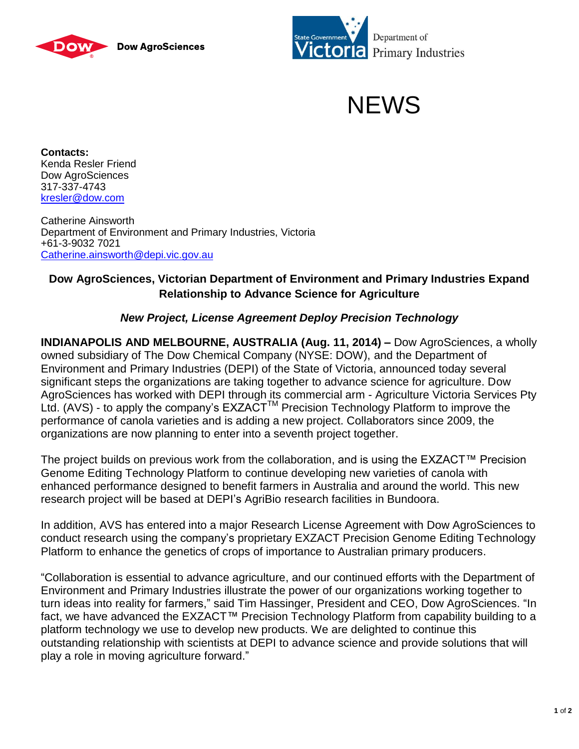





**Contacts:** Kenda Resler Friend Dow AgroSciences 317-337-4743 [kresler@dow.com](mailto:kresler@dow.com)

Catherine Ainsworth Department of Environment and Primary Industries, Victoria +61-3-9032 7021 [Catherine.ainsworth@depi.vic.gov.au](mailto:Catherine.ainsworth@depi.vic.gov.au)

## **Dow AgroSciences, Victorian Department of Environment and Primary Industries Expand Relationship to Advance Science for Agriculture**

## *New Project, License Agreement Deploy Precision Technology*

**INDIANAPOLIS AND MELBOURNE, AUSTRALIA (Aug. 11, 2014) –** Dow AgroSciences, a wholly owned subsidiary of The Dow Chemical Company (NYSE: DOW), and the Department of Environment and Primary Industries (DEPI) of the State of Victoria, announced today several significant steps the organizations are taking together to advance science for agriculture. Dow AgroSciences has worked with DEPI through its commercial arm - Agriculture Victoria Services Pty Ltd. (AVS) - to apply the company's  $EXZACT^{TM}$  Precision Technology Platform to improve the performance of canola varieties and is adding a new project. Collaborators since 2009, the organizations are now planning to enter into a seventh project together.

The project builds on previous work from the collaboration, and is using the EXZACT™ Precision Genome Editing Technology Platform to continue developing new varieties of canola with enhanced performance designed to benefit farmers in Australia and around the world. This new research project will be based at DEPI's AgriBio research facilities in Bundoora.

In addition, AVS has entered into a major Research License Agreement with Dow AgroSciences to conduct research using the company's proprietary EXZACT Precision Genome Editing Technology Platform to enhance the genetics of crops of importance to Australian primary producers.

"Collaboration is essential to advance agriculture, and our continued efforts with the Department of Environment and Primary Industries illustrate the power of our organizations working together to turn ideas into reality for farmers," said Tim Hassinger, President and CEO, Dow AgroSciences. "In fact, we have advanced the EXZACT™ Precision Technology Platform from capability building to a platform technology we use to develop new products. We are delighted to continue this outstanding relationship with scientists at DEPI to advance science and provide solutions that will play a role in moving agriculture forward."